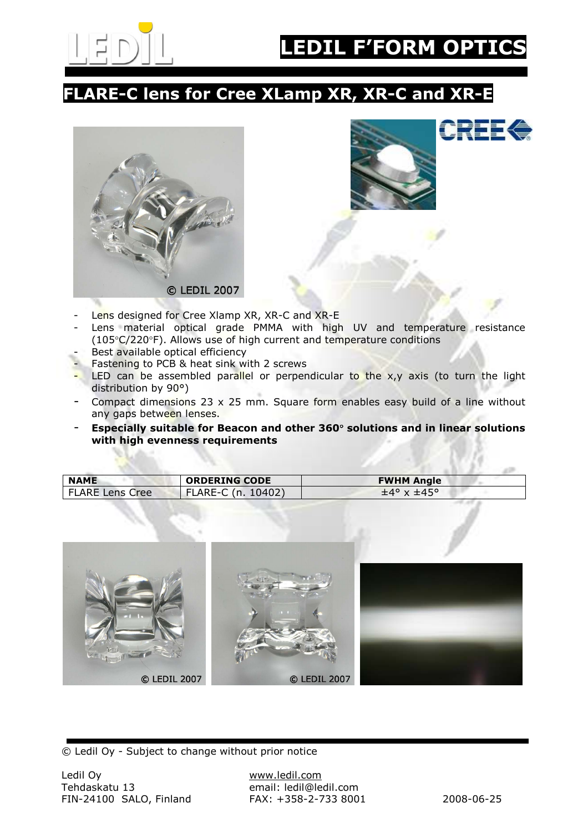

## FLARE-C lens for Cree XLamp XR, XR-C and XR-E





- Lens designed for Cree Xlamp XR, XR-C and XR-E
- Lens material optical grade PMMA with high UV and temperature resistance (105°C/220°F). Allows use of high current and temperature conditions
- Best available optical efficiency
- Fastening to PCB & heat sink with 2 screws
- LED can be assembled parallel or perpendicular to the  $x,y$  axis (to turn the light distribution by 90°)
- Compact dimensions 23  $\times$  25 mm. Square form enables easy build of a line without any gaps between lenses.
- Especially suitable for Beacon and other 360° solutions and in linear solutions with high evenness requirements

| <b>NAME</b>            | <b>ORDERING CODE</b> | <b>FWHM Angle</b> |
|------------------------|----------------------|-------------------|
| <b>FLARE Lens Cree</b> | FLARE-C (n. 10402)   | $±4° \times ±45°$ |



© Ledil Oy - Subject to change without prior notice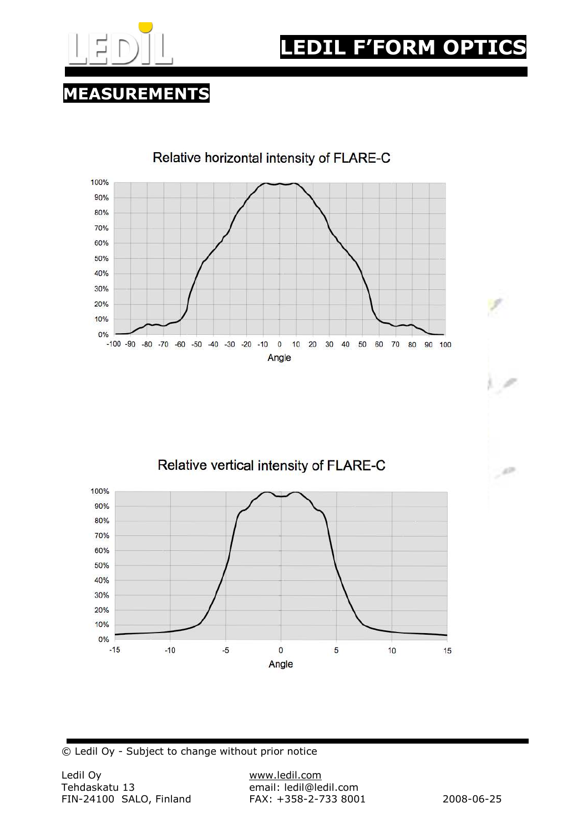

## MEASUREMENTS



Relative vertical intensity of FLARE-C



© Ledil Oy - Subject to change without prior notice

r v

 $\mathcal{A}^{\mathcal{D}}$